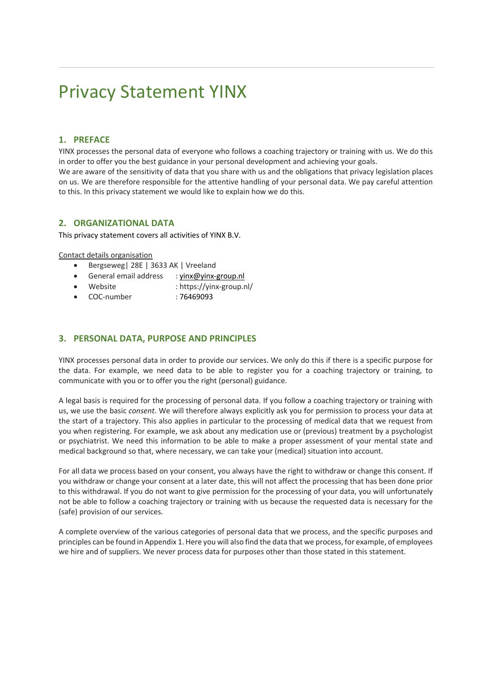### **1. PREFACE**

YINX processes the personal data of everyone who follows a coaching trajectory or training with us. We do this in order to offer you the best guidance in your personal development and achieving your goals.

We are aware of the sensitivity of data that you share with us and the obligations that privacy legislation places on us. We are therefore responsible for the attentive handling of your personal data. We pay careful attention to this. In this privacy statement we would like to explain how we do this.

#### **2. ORGANIZATIONAL DATA**

This privacy statement covers all activities of YINX B.V.

Contact details organisation

- Bergseweg| 28E | 3633 AK | Vreeland
- General email address : yinx@yinx-group.nl
- Website : https://yinx-group.nl/
- COC-number : 76469093

#### **3. PERSONAL DATA, PURPOSE AND PRINCIPLES**

YINX processes personal data in order to provide our services. We only do this if there is a specific purpose for the data. For example, we need data to be able to register you for a coaching trajectory or training, to communicate with you or to offer you the right (personal) guidance.

A legal basis is required for the processing of personal data. If you follow a coaching trajectory or training with us, we use the basic *consent*. We will therefore always explicitly ask you for permission to process your data at the start of a trajectory. This also applies in particular to the processing of medical data that we request from you when registering. For example, we ask about any medication use or (previous) treatment by a psychologist or psychiatrist. We need this information to be able to make a proper assessment of your mental state and medical background so that, where necessary, we can take your (medical) situation into account.

For all data we process based on your consent, you always have the right to withdraw or change this consent. If you withdraw or change your consent at a later date, this will not affect the processing that has been done prior to this withdrawal. If you do not want to give permission for the processing of your data, you will unfortunately not be able to follow a coaching trajectory or training with us because the requested data is necessary for the (safe) provision of our services.

A complete overview of the various categories of personal data that we process, and the specific purposes and principles can be found in Appendix 1. Here you will also find the data that we process, for example, of employees we hire and of suppliers. We never process data for purposes other than those stated in this statement.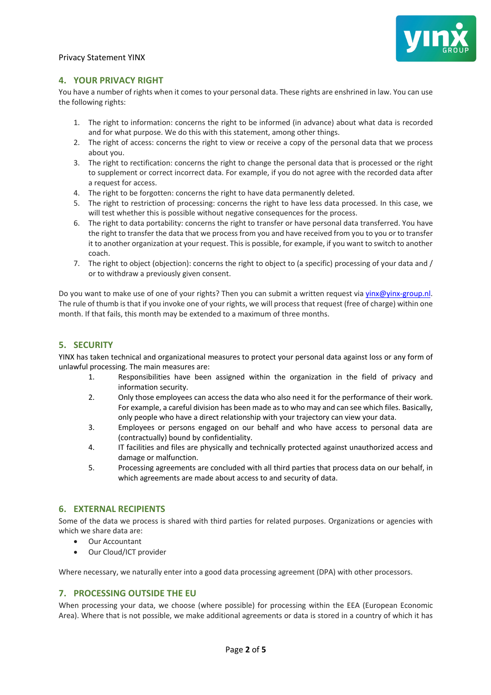

### **4. YOUR PRIVACY RIGHT**

You have a number of rights when it comes to your personal data. These rights are enshrined in law. You can use the following rights:

- 1. The right to information: concerns the right to be informed (in advance) about what data is recorded and for what purpose. We do this with this statement, among other things.
- 2. The right of access: concerns the right to view or receive a copy of the personal data that we process about you.
- 3. The right to rectification: concerns the right to change the personal data that is processed or the right to supplement or correct incorrect data. For example, if you do not agree with the recorded data after a request for access.
- 4. The right to be forgotten: concerns the right to have data permanently deleted.
- 5. The right to restriction of processing: concerns the right to have less data processed. In this case, we will test whether this is possible without negative consequences for the process.
- 6. The right to data portability: concerns the right to transfer or have personal data transferred. You have the right to transfer the data that we process from you and have received from you to you or to transfer it to another organization at your request. This is possible, for example, if you want to switch to another coach.
- 7. The right to object (objection): concerns the right to object to (a specific) processing of your data and / or to withdraw a previously given consent.

Do you want to make use of one of your rights? Then you can submit a written request via yinx@yinx-group.nl. The rule of thumb is that if you invoke one of your rights, we will process that request (free of charge) within one month. If that fails, this month may be extended to a maximum of three months.

## **5. SECURITY**

YINX has taken technical and organizational measures to protect your personal data against loss or any form of unlawful processing. The main measures are:

- 1. Responsibilities have been assigned within the organization in the field of privacy and information security.
- 2. Only those employees can access the data who also need it for the performance of their work. For example, a careful division has been made as to who may and can see which files. Basically, only people who have a direct relationship with your trajectory can view your data.
- 3. Employees or persons engaged on our behalf and who have access to personal data are (contractually) bound by confidentiality.
- 4. IT facilities and files are physically and technically protected against unauthorized access and damage or malfunction.
- 5. Processing agreements are concluded with all third parties that process data on our behalf, in which agreements are made about access to and security of data.

#### **6. EXTERNAL RECIPIENTS**

Some of the data we process is shared with third parties for related purposes. Organizations or agencies with which we share data are:

- Our Accountant
- Our Cloud/ICT provider

Where necessary, we naturally enter into a good data processing agreement (DPA) with other processors.

#### **7. PROCESSING OUTSIDE THE EU**

When processing your data, we choose (where possible) for processing within the EEA (European Economic Area). Where that is not possible, we make additional agreements or data is stored in a country of which it has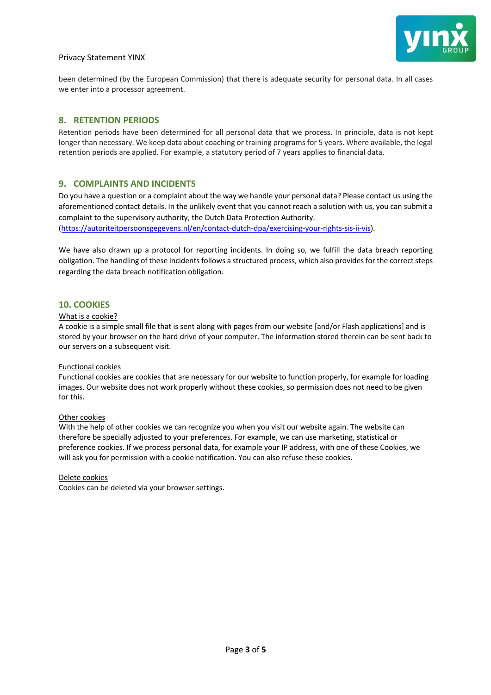

been determined (by the European Commission) that there is adequate security for personal data. In all cases we enter into a processor agreement.

#### **8. RETENTION PERIODS**

Retention periods have been determined for all personal data that we process. In principle, data is not kept longer than necessary. We keep data about coaching or training programs for 5 years. Where available, the legal retention periods are applied. For example, a statutory period of 7 years applies to financial data.

#### **9. COMPLAINTS AND INCIDENTS**

Do you have a question or a complaint about the way we handle your personal data? Please contact us using the aforementioned contact details. In the unlikely event that you cannot reach a solution with us, you can submit a complaint to the supervisory authority, the Dutch Data Protection Authority.

(https://autoriteitpersoonsgegevens.nl/en/contact-dutch-dpa/exercising-your-rights-sis-ii-vis).

We have also drawn up a protocol for reporting incidents. In doing so, we fulfill the data breach reporting obligation. The handling of these incidents follows a structured process, which also provides for the correct steps regarding the data breach notification obligation.

#### **10. COOKIES**

#### What is a cookie?

A cookie is a simple small file that is sent along with pages from our website [and/or Flash applications] and is stored by your browser on the hard drive of your computer. The information stored therein can be sent back to our servers on a subsequent visit.

#### Functional cookies

Functional cookies are cookies that are necessary for our website to function properly, for example for loading images. Our website does not work properly without these cookies, so permission does not need to be given for this.

#### Other cookies

With the help of other cookies we can recognize you when you visit our website again. The website can therefore be specially adjusted to your preferences. For example, we can use marketing, statistical or preference cookies. If we process personal data, for example your IP address, with one of these Cookies, we will ask you for permission with a cookie notification. You can also refuse these cookies.

#### Delete cookies

Cookies can be deleted via your browser settings.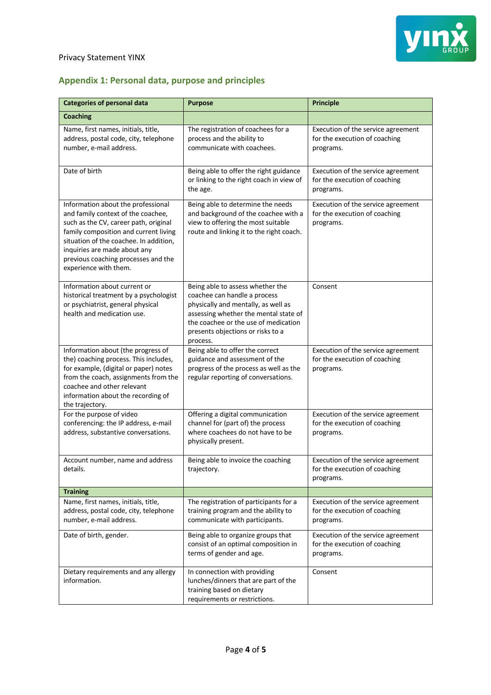

# **Appendix 1: Personal data, purpose and principles**

| <b>Categories of personal data</b>                                                                                                                                                                                                                                                                   | <b>Purpose</b>                                                                                                                                                                                                                            | <b>Principle</b>                                                                 |
|------------------------------------------------------------------------------------------------------------------------------------------------------------------------------------------------------------------------------------------------------------------------------------------------------|-------------------------------------------------------------------------------------------------------------------------------------------------------------------------------------------------------------------------------------------|----------------------------------------------------------------------------------|
| <b>Coaching</b>                                                                                                                                                                                                                                                                                      |                                                                                                                                                                                                                                           |                                                                                  |
| Name, first names, initials, title,<br>address, postal code, city, telephone<br>number, e-mail address.                                                                                                                                                                                              | The registration of coachees for a<br>process and the ability to<br>communicate with coachees.                                                                                                                                            | Execution of the service agreement<br>for the execution of coaching<br>programs. |
| Date of birth                                                                                                                                                                                                                                                                                        | Being able to offer the right guidance<br>or linking to the right coach in view of<br>the age.                                                                                                                                            | Execution of the service agreement<br>for the execution of coaching<br>programs. |
| Information about the professional<br>and family context of the coachee,<br>such as the CV, career path, original<br>family composition and current living<br>situation of the coachee. In addition,<br>inquiries are made about any<br>previous coaching processes and the<br>experience with them. | Being able to determine the needs<br>and background of the coachee with a<br>view to offering the most suitable<br>route and linking it to the right coach.                                                                               | Execution of the service agreement<br>for the execution of coaching<br>programs. |
| Information about current or<br>historical treatment by a psychologist<br>or psychiatrist, general physical<br>health and medication use.                                                                                                                                                            | Being able to assess whether the<br>coachee can handle a process<br>physically and mentally, as well as<br>assessing whether the mental state of<br>the coachee or the use of medication<br>presents objections or risks to a<br>process. | Consent                                                                          |
| Information about (the progress of<br>the) coaching process. This includes,<br>for example, (digital or paper) notes<br>from the coach, assignments from the<br>coachee and other relevant<br>information about the recording of<br>the trajectory.                                                  | Being able to offer the correct<br>guidance and assessment of the<br>progress of the process as well as the<br>regular reporting of conversations.                                                                                        | Execution of the service agreement<br>for the execution of coaching<br>programs. |
| For the purpose of video<br>conferencing: the IP address, e-mail<br>address, substantive conversations.                                                                                                                                                                                              | Offering a digital communication<br>channel for (part of) the process<br>where coachees do not have to be<br>physically present.                                                                                                          | Execution of the service agreement<br>for the execution of coaching<br>programs. |
| Account number, name and address<br>details.                                                                                                                                                                                                                                                         | Being able to invoice the coaching<br>trajectory.                                                                                                                                                                                         | Execution of the service agreement<br>for the execution of coaching<br>programs. |
| <b>Training</b>                                                                                                                                                                                                                                                                                      |                                                                                                                                                                                                                                           |                                                                                  |
| Name, first names, initials, title,<br>address, postal code, city, telephone<br>number, e-mail address.                                                                                                                                                                                              | The registration of participants for a<br>training program and the ability to<br>communicate with participants.                                                                                                                           | Execution of the service agreement<br>for the execution of coaching<br>programs. |
| Date of birth, gender.                                                                                                                                                                                                                                                                               | Being able to organize groups that<br>consist of an optimal composition in<br>terms of gender and age.                                                                                                                                    | Execution of the service agreement<br>for the execution of coaching<br>programs. |
| Dietary requirements and any allergy<br>information.                                                                                                                                                                                                                                                 | In connection with providing<br>lunches/dinners that are part of the<br>training based on dietary<br>requirements or restrictions.                                                                                                        | Consent                                                                          |